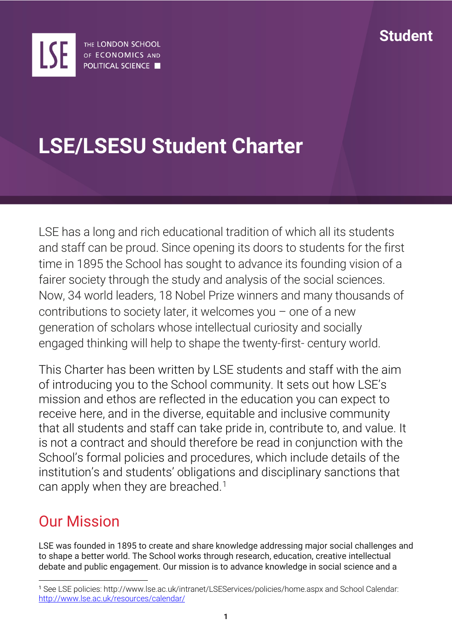

# **LSE/LSESU Student Charter**

LSE has a long and rich educational tradition of which all its students and staff can be proud. Since opening its doors to students for the first time in 1895 the School has sought to advance its founding vision of a fairer society through the study and analysis of the social sciences. Now, 34 world leaders, 18 Nobel Prize winners and many thousands of contributions to society later, it welcomes you  $-$  one of a new generation of scholars whose intellectual curiosity and socially engaged thinking will help to shape the twenty-first- century world.

This Charter has been written by LSE students and staff with the aim of introducing you to the School community. It sets out how LSE's mission and ethos are reflected in the education you can expect to receive here, and in the diverse, equitable and inclusive community that all students and staff can take pride in, contribute to, and value. It is not a contract and should therefore be read in conjunction with the School's formal policies and procedures, which include details of the institution's and students' obligations and disciplinary sanctions that can apply when they are breached.<sup>[1](#page-0-0)</sup>

### Our Mission

LSE was founded in 1895 to create and share knowledge addressing major social challenges and to shape a better world. The School works through research, education, creative intellectual debate and public engagement. Our mission is to advance knowledge in social science and a

<span id="page-0-0"></span> <sup>1</sup> See LSE policies: http://www.lse.ac.uk/intranet/LSEServices/policies/home.aspx and School Calendar: <http://www.lse.ac.uk/resources/calendar/>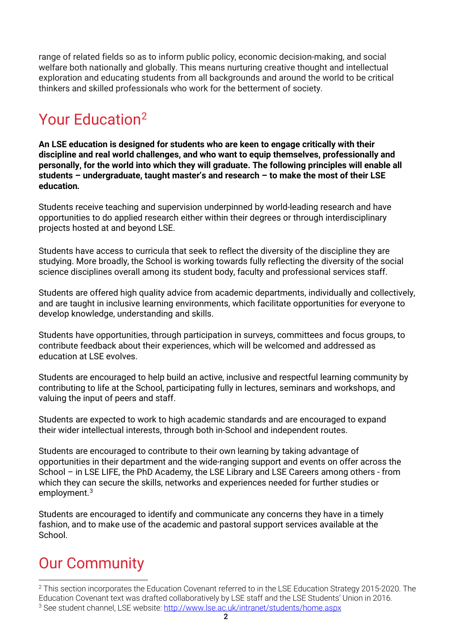range of related fields so as to inform public policy, economic decision-making, and social welfare both nationally and globally. This means nurturing creative thought and intellectual exploration and educating students from all backgrounds and around the world to be critical thinkers and skilled professionals who work for the betterment of society.

## Your Educatio[n2](#page-1-0)

**An LSE education is designed for students who are keen to engage critically with their discipline and real world challenges, and who want to equip themselves, professionally and personally, for the world into which they will graduate. The following principles will enable all students – undergraduate, taught master's and research – to make the most of their LSE education***.*

Students receive teaching and supervision underpinned by world-leading research and have opportunities to do applied research either within their degrees or through interdisciplinary projects hosted at and beyond LSE.

Students have access to curricula that seek to reflect the diversity of the discipline they are studying. More broadly, the School is working towards fully reflecting the diversity of the social science disciplines overall among its student body, faculty and professional services staff.

Students are offered high quality advice from academic departments, individually and collectively, and are taught in inclusive learning environments, which facilitate opportunities for everyone to develop knowledge, understanding and skills.

Students have opportunities, through participation in surveys, committees and focus groups, to contribute feedback about their experiences, which will be welcomed and addressed as education at LSE evolves.

Students are encouraged to help build an active, inclusive and respectful learning community by contributing to life at the School, participating fully in lectures, seminars and workshops, and valuing the input of peers and staff.

Students are expected to work to high academic standards and are encouraged to expand their wider intellectual interests, through both in-School and independent routes.

Students are encouraged to contribute to their own learning by taking advantage of opportunities in their department and the wide-ranging support and events on offer across the School – in LSE LIFE, the PhD Academy, the LSE Library and LSE Careers among others - from which they can secure the skills, networks and experiences needed for further studies or employment.[3](#page-1-1)

Students are encouraged to identify and communicate any concerns they have in a timely fashion, and to make use of the academic and pastoral support services available at the School.

### Our Community

<span id="page-1-1"></span><span id="page-1-0"></span><sup>&</sup>lt;sup>2</sup> This section incorporates the Education Covenant referred to in the LSE Education Strategy 2015-2020. The Education Covenant text was drafted collaboratively by LSE staff and the LSE Students' Union in 2016. <sup>3</sup> See student channel, LSE website:<http://www.lse.ac.uk/intranet/students/home.aspx>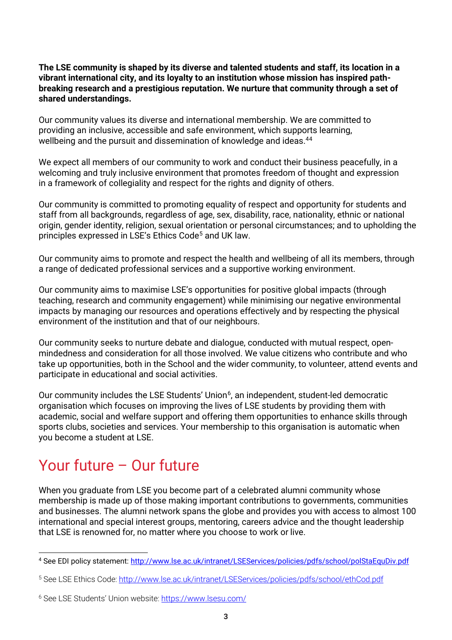**The LSE community is shaped by its diverse and talented students and staff, its location in a vibrant international city, and its loyalty to an institution whose mission has inspired pathbreaking research and a prestigious reputation. We nurture that community through a set of shared understandings.**

Our community values its diverse and international membership. We are committed to providing an inclusive, accessible and safe environment, which supports learning, wellbeing and the pursuit and dissemination of knowledge and ideas.<sup>[4](#page-2-0)4</sup>

We expect all members of our community to work and conduct their business peacefully, in a welcoming and truly inclusive environment that promotes freedom of thought and expression in a framework of collegiality and respect for the rights and dignity of others.

Our community is committed to promoting equality of respect and opportunity for students and staff from all backgrounds, regardless of age, sex, disability, race, nationality, ethnic or national origin, gender identity, religion, sexual orientation or personal circumstances; and to upholding the principles expressed in LSE's Ethics Code<sup>[5](#page-2-1)</sup> and UK law.

Our community aims to promote and respect the health and wellbeing of all its members, through a range of dedicated professional services and a supportive working environment.

Our community aims to maximise LSE's opportunities for positive global impacts (through teaching, research and community engagement) while minimising our negative environmental impacts by managing our resources and operations effectively and by respecting the physical environment of the institution and that of our neighbours.

Our community seeks to nurture debate and dialogue, conducted with mutual respect, openmindedness and consideration for all those involved. We value citizens who contribute and who take up opportunities, both in the School and the wider community, to volunteer, attend events and participate in educational and social activities.

Our community includes the LSE Students' Union<sup>[6](#page-2-2)</sup>, an independent, student-led democratic organisation which focuses on improving the lives of LSE students by providing them with academic, social and welfare support and offering them opportunities to enhance skills through sports clubs, societies and services. Your membership to this organisation is automatic when you become a student at LSE.

### Your future – Our future

When you graduate from LSE you become part of a celebrated alumni community whose membership is made up of those making important contributions to governments, communities and businesses. The alumni network spans the globe and provides you with access to almost 100 international and special interest groups, mentoring, careers advice and the thought leadership that LSE is renowned for, no matter where you choose to work or live.

<span id="page-2-0"></span> <sup>4</sup> See EDI policy statement:<http://www.lse.ac.uk/intranet/LSEServices/policies/pdfs/school/polStaEquDiv.pdf>

<span id="page-2-1"></span><sup>5</sup> See LSE Ethics Code:<http://www.lse.ac.uk/intranet/LSEServices/policies/pdfs/school/ethCod.pdf>

<span id="page-2-2"></span><sup>6</sup> See LSE Students' Union website[: https://www.lsesu.com/](https://www.lsesu.com/)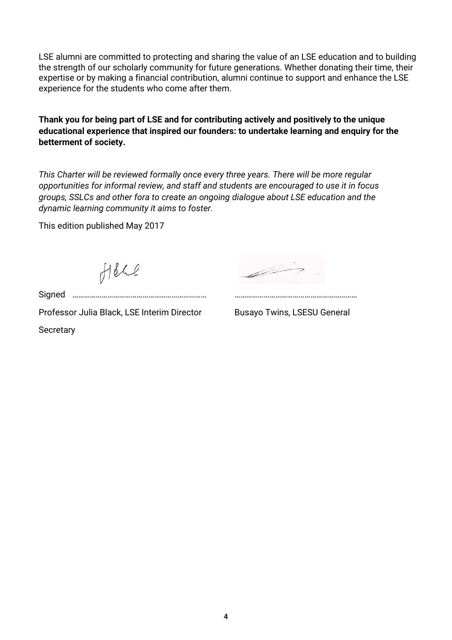LSE alumni are committed to protecting and sharing the value of an LSE education and to building the strength of our scholarly community for future generations. Whether donating their time, their expertise or by making a financial contribution, alumni continue to support and enhance the LSE experience for the students who come after them.

**Thank you for being part of LSE and for contributing actively and positively to the unique educational experience that inspired our founders: to undertake learning and enquiry for the betterment of society.**

*This Charter will be reviewed formally once every three years. There will be more regular opportunities for informal review, and staff and students are encouraged to use it in focus groups, SSLCs and other fora to create an ongoing dialogue about LSE education and the dynamic learning community it aims to foster.*

This edition published May 2017

Holl

Signed …………………………………………………………… ………………………………………………………

Professor Julia Black, LSE Interim Director Busayo Twins, LSESU General **Secretary**